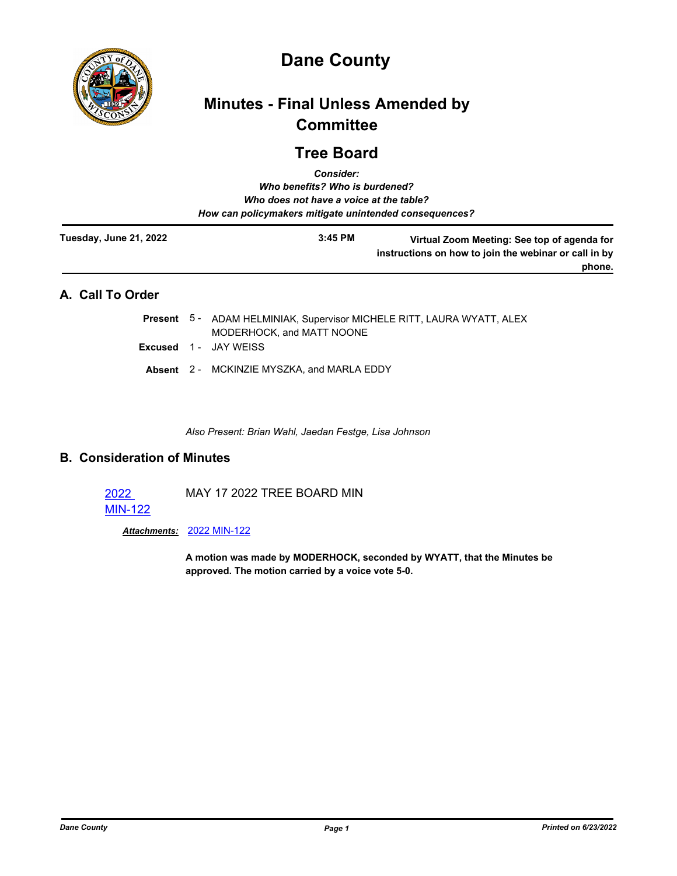

# **Dane County**

# **Minutes - Final Unless Amended by Committee**

## **Tree Board**

| <b>Consider:</b><br>Who benefits? Who is burdened?<br>Who does not have a voice at the table?<br>How can policymakers mitigate unintended consequences? |  |  |           |                                                                                                                |  |
|---------------------------------------------------------------------------------------------------------------------------------------------------------|--|--|-----------|----------------------------------------------------------------------------------------------------------------|--|
| Tuesday, June 21, 2022                                                                                                                                  |  |  | $3:45$ PM | Virtual Zoom Meeting: See top of agenda for<br>instructions on how to join the webinar or call in by<br>phone. |  |
| A. Call To Order                                                                                                                                        |  |  |           |                                                                                                                |  |
|                                                                                                                                                         |  |  |           | <b>Present</b> 5 - ADAM HELMINIAK, Supervisor MICHELE RITT, LAURA WYATT, ALEX                                  |  |

- MODERHOCK, and MATT NOONE
- **Excused** 1 JAY WEISS
- **Absent** 2 MCKINZIE MYSZKA, and MARLA EDDY

*Also Present: Brian Wahl, Jaedan Festge, Lisa Johnson*

### **B. Consideration of Minutes**

| 2022           | MAY 17 2022 TREE BOARD MIN |
|----------------|----------------------------|
| <b>MIN-122</b> |                            |

*Attachments:* [2022 MIN-122](http://dane.legistar.com/gateway.aspx?M=F&ID=1e76c069-ce58-4350-897b-495b5aea9792.pdf)

**A motion was made by MODERHOCK, seconded by WYATT, that the Minutes be approved. The motion carried by a voice vote 5-0.**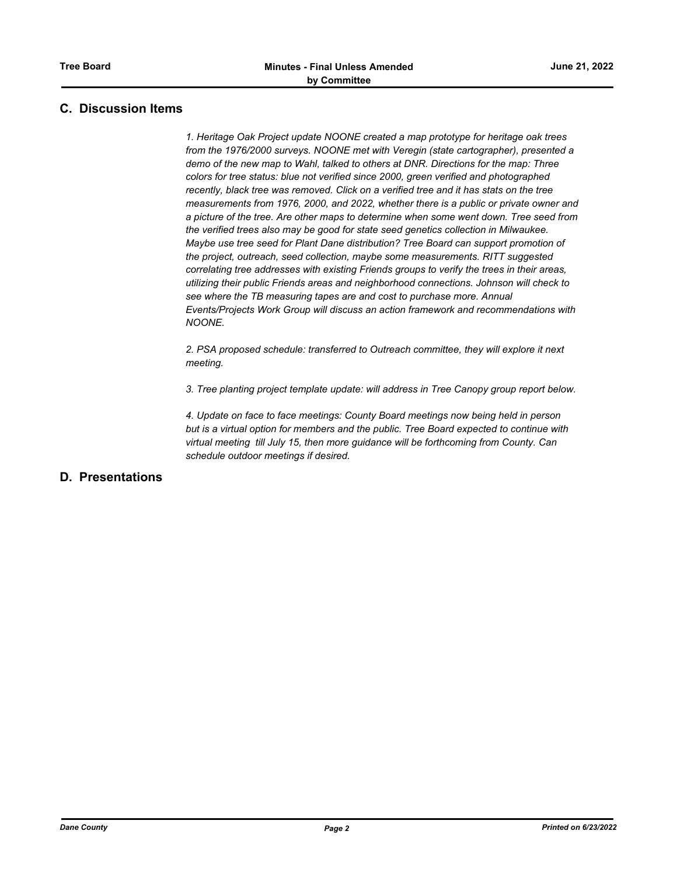### **C. Discussion Items**

*1. Heritage Oak Project update NOONE created a map prototype for heritage oak trees from the 1976/2000 surveys. NOONE met with Veregin (state cartographer), presented a demo of the new map to Wahl, talked to others at DNR. Directions for the map: Three colors for tree status: blue not verified since 2000, green verified and photographed recently, black tree was removed. Click on a verified tree and it has stats on the tree measurements from 1976, 2000, and 2022, whether there is a public or private owner and a picture of the tree. Are other maps to determine when some went down. Tree seed from the verified trees also may be good for state seed genetics collection in Milwaukee. Maybe use tree seed for Plant Dane distribution? Tree Board can support promotion of the project, outreach, seed collection, maybe some measurements. RITT suggested correlating tree addresses with existing Friends groups to verify the trees in their areas, utilizing their public Friends areas and neighborhood connections. Johnson will check to see where the TB measuring tapes are and cost to purchase more. Annual Events/Projects Work Group will discuss an action framework and recommendations with NOONE.*

*2. PSA proposed schedule: transferred to Outreach committee, they will explore it next meeting.* 

*3. Tree planting project template update: will address in Tree Canopy group report below.*

*4. Update on face to face meetings: County Board meetings now being held in person but is a virtual option for members and the public. Tree Board expected to continue with virtual meeting till July 15, then more guidance will be forthcoming from County. Can schedule outdoor meetings if desired.*

### **D. Presentations**